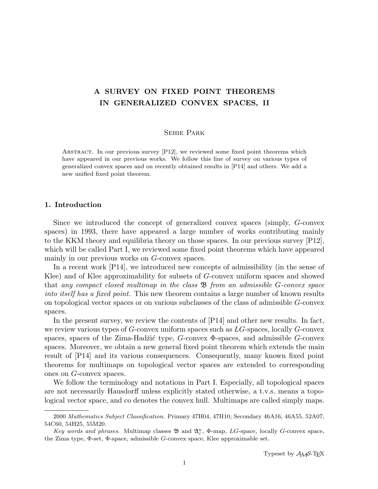# A SURVEY ON FIXED POINT THEOREMS IN GENERALIZED CONVEX SPACES, II

# Sehie Park

Abstract. In our previous survey [P12], we reviewed some fixed point theorems which have appeared in our previous works. We follow this line of survey on various types of generalized convex spaces and on recently obtained results in [P14] and others. We add a new unified fixed point theorem.

## 1. Introduction

Since we introduced the concept of generalized convex spaces (simply, G-convex spaces) in 1993, there have appeared a large number of works contributing mainly to the KKM theory and equilibria theory on those spaces. In our previous survey [P12], which will be called Part I, we reviewed some fixed point theorems which have appeared mainly in our previous works on G-convex spaces.

In a recent work [P14], we introduced new concepts of admissibility (in the sense of Klee) and of Klee approximability for subsets of G-convex uniform spaces and showed that any compact closed multimap in the class  $\mathfrak{B}$  from an admissible G-convex space into itself has a fixed point. This new theorem contains a large number of known results on topological vector spaces or on various subclasses of the class of admissible G-convex spaces.

In the present survey, we review the contents of [P14] and other new results. In fact, we review various types of  $G$ -convex uniform spaces such as  $LG$ -spaces, locally  $G$ -convex spaces, spaces of the Zima-Hadžić type,  $G$ -convex  $\Phi$ -spaces, and admissible  $G$ -convex spaces. Moreover, we obtain a new general fixed point theorem which extends the main result of [P14] and its various consequences. Consequently, many known fixed point theorems for multimaps on topological vector spaces are extended to corresponding ones on G-convex spaces.

We follow the terminology and notations in Part I. Especially, all topological spaces are not necessarily Hausdorff unless explicitly stated otherwise, a t.v.s. means a topological vector space, and co denotes the convex hull. Multimaps are called simply maps.

<sup>2000</sup> Mathematics Subject Classification. Primary 47H04, 47H10; Secondary 46A16, 46A55, 52A07, 54C60, 54H25, 55M20.

Key words and phrases. Multimap classes  $\mathfrak{B}$  and  $\mathfrak{A}_{c}^{\kappa}$ ,  $\Phi$ -map, LG-space, locally G-convex space, the Zima type, Φ-set, Φ-space, admissible G-convex space, Klee approximable set.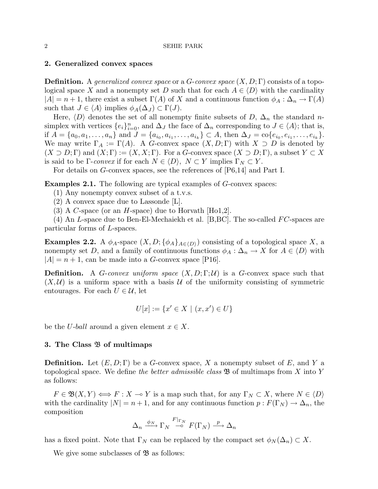## 2. Generalized convex spaces

**Definition.** A generalized convex space or a G-convex space  $(X, D; \Gamma)$  consists of a topological space X and a nonempty set D such that for each  $A \in \langle D \rangle$  with the cardinality  $|A| = n + 1$ , there exist a subset  $\Gamma(A)$  of X and a continuous function  $\phi_A : \Delta_n \to \Gamma(A)$ such that  $J \in \langle A \rangle$  implies  $\phi_A(\Delta_J) \subset \Gamma(J)$ .

Here,  $\langle D \rangle$  denotes the set of all nonempty finite subsets of D,  $\Delta_n$  the standard nsimplex with vertices  $\{e_i\}_{i=0}^n$ , and  $\Delta_J$  the face of  $\Delta_n$  corresponding to  $J \in \langle A \rangle$ ; that is, if  $A = \{a_0, a_1, \ldots, a_n\}$  and  $J = \{a_{i_0}, a_{i_1}, \ldots, a_{i_k}\} \subset A$ , then  $\Delta_J = \text{co}\{e_{i_0}, e_{i_1}, \ldots, e_{i_k}\}.$ We may write  $\Gamma_A := \Gamma(A)$ . A G-convex space  $(X, D; \Gamma)$  with  $X \supset D$  is denoted by  $(X \supset D; \Gamma)$  and  $(X; \Gamma) := (X, X; \Gamma)$ . For a G-convex space  $(X \supset D; \Gamma)$ , a subset  $Y \subset X$ is said to be  $\Gamma$ -convex if for each  $N \in \langle D \rangle$ ,  $N \subset Y$  implies  $\Gamma_N \subset Y$ .

For details on G-convex spaces, see the references of [P6,14] and Part I.

Examples 2.1. The following are typical examples of G-convex spaces:

(1) Any nonempty convex subset of a t.v.s.

(2) A convex space due to Lassonde [L].

(3) A C-space (or an H-space) due to Horvath [Ho1,2].

(4) An L-space due to Ben-El-Mechaiekh et al. [B, BC]. The so-called  $FC$ -spaces are particular forms of L-spaces.

**Examples 2.2.** A  $\phi_A$ -space  $(X, D; {\phi_A}_{A\in\langle D \rangle})$  consisting of a topological space X, a nonempty set D, and a family of continuous functions  $\phi_A : \Delta_n \to X$  for  $A \in \langle D \rangle$  with  $|A| = n + 1$ , can be made into a G-convex space [P16].

**Definition.** A G-convex uniform space  $(X, D; \Gamma; \mathcal{U})$  is a G-convex space such that  $(X, \mathcal{U})$  is a uniform space with a basis U of the uniformity consisting of symmetric entourages. For each  $U \in \mathcal{U}$ , let

$$
U[x] := \{ x' \in X \mid (x, x') \in U \}
$$

be the U-ball around a given element  $x \in X$ .

## 3. The Class B of multimaps

**Definition.** Let  $(E, D; \Gamma)$  be a G-convex space, X a nonempty subset of E, and Y a topological space. We define the better admissible class  $\mathfrak{B}$  of multimaps from X into Y as follows:

 $F \in \mathfrak{B}(X,Y) \Longleftrightarrow F : X \multimap Y$  is a map such that, for any  $\Gamma_N \subset X$ , where  $N \in \langle D \rangle$ with the cardinality  $|N| = n + 1$ , and for any continuous function  $p : F(\Gamma_N) \to \Delta_n$ , the composition

$$
\Delta_n \xrightarrow{\phi_N} \Gamma_N \xrightarrow{F|_{\Gamma_N}} F(\Gamma_N) \xrightarrow{p} \Delta_n
$$

has a fixed point. Note that  $\Gamma_N$  can be replaced by the compact set  $\phi_N(\Delta_n) \subset X$ .

We give some subclasses of  $\mathfrak{B}$  as follows: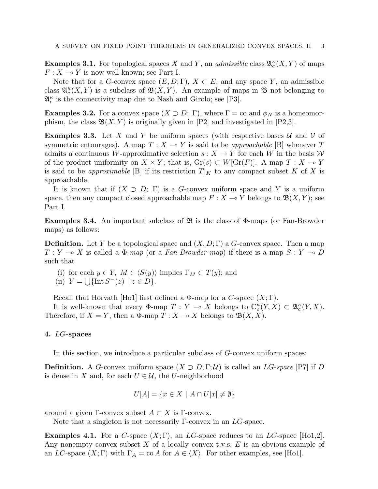**Examples 3.1.** For topological spaces X and Y, an *admissible* class  $\mathfrak{A}_{c}^{\kappa}(X, Y)$  of maps  $F: X \longrightarrow Y$  is now well-known; see Part I.

Note that for a G-convex space  $(E, D; \Gamma)$ ,  $X \subset E$ , and any space Y, an admissible class  $\mathfrak{A}_{c}^{\kappa}(X,Y)$  is a subclass of  $\mathfrak{B}(X,Y)$ . An example of maps in  $\mathfrak{B}$  not belonging to  $\mathfrak{A}_{c}^{\kappa}$  is the connectivity map due to Nash and Girolo; see [P3].

**Examples 3.2.** For a convex space  $(X \supset D; \Gamma)$ , where  $\Gamma = \text{co}$  and  $\phi_N$  is a homeomorphism, the class  $\mathfrak{B}(X, Y)$  is originally given in [P2] and investigated in [P2,3].

**Examples 3.3.** Let X and Y be uniform spaces (with respective bases  $\mathcal{U}$  and  $\mathcal{V}$  of symmetric entourages). A map  $T : X \to Y$  is said to be *approachable* [B] whenever T admits a continuous W-approximative selection  $s: X \to Y$  for each W in the basis W of the product uniformity on  $X \times Y$ ; that is,  $\text{Gr}(s) \subset W[\text{Gr}(F)]$ . A map  $T : X \to Y$ is said to be *approximable* [B] if its restriction  $T|_K$  to any compact subset K of X is approachable.

It is known that if  $(X \supset D; \Gamma)$  is a G-convex uniform space and Y is a uniform space, then any compact closed approachable map  $F : X \to Y$  belongs to  $\mathfrak{B}(X, Y)$ ; see Part I.

**Examples 3.4.** An important subclass of  $\mathfrak{B}$  is the class of  $\Phi$ -maps (or Fan-Browder maps) as follows:

**Definition.** Let Y be a topological space and  $(X, D; \Gamma)$  a G-convex space. Then a map  $T : Y \longrightarrow X$  is called a  $\Phi$ -map (or a Fan-Browder map) if there is a map  $S : Y \longrightarrow D$ such that

(i) for each  $y \in Y$ ,  $M \in \langle S(y) \rangle$  implies  $\Gamma_M \subset T(y)$ ; and

(ii)  $Y = \bigcup \{ \text{Int } S^{-}(z) \mid z \in D \}.$ 

Recall that Horvath [Ho1] first defined a  $\Phi$ -map for a C-space  $(X; \Gamma)$ .

It is well-known that every  $\Phi$ -map  $T: Y \multimap X$  belongs to  $\mathbb{C}_c^{\kappa}(Y,X) \subset \mathfrak{A}_c^{\kappa}(Y,X)$ . Therefore, if  $X = Y$ , then a  $\Phi$ -map  $T : X \to X$  belongs to  $\mathfrak{B}(X, X)$ .

# 4. LG-spaces

In this section, we introduce a particular subclass of G-convex uniform spaces:

**Definition.** A G-convex uniform space  $(X \supset D; \Gamma; \mathcal{U})$  is called an LG-space [P7] if D is dense in X and, for each  $U \in \mathcal{U}$ , the U-neighborhood

$$
U[A] = \{ x \in X \mid A \cap U[x] \neq \emptyset \}
$$

around a given Γ-convex subset  $A \subset X$  is Γ-convex.

Note that a singleton is not necessarily  $\Gamma$ -convex in an  $LG$ -space.

**Examples 4.1.** For a C-space  $(X;\Gamma)$ , an LG-space reduces to an LC-space [Ho1,2]. Any nonempty convex subset  $X$  of a locally convex t.v.s.  $E$  is an obvious example of an LC-space  $(X; \Gamma)$  with  $\Gamma_A = \text{co } A$  for  $A \in \langle X \rangle$ . For other examples, see [Ho1].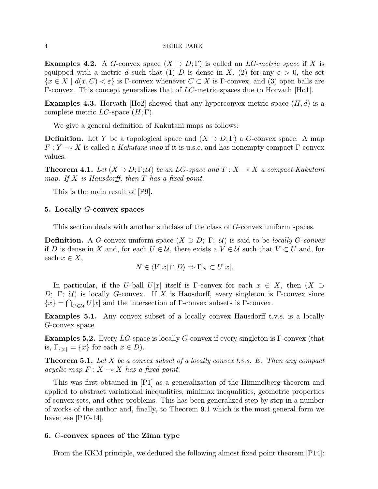**Examples 4.2.** A G-convex space  $(X \supset D; \Gamma)$  is called an LG-metric space if X is equipped with a metric d such that (1) D is dense in X, (2) for any  $\varepsilon > 0$ , the set  ${x \in X \mid d(x, C) < \varepsilon}$  is Γ-convex whenever  $C \subset X$  is Γ-convex, and (3) open balls are Γ-convex. This concept generalizes that of LC-metric spaces due to Horvath [Ho1].

**Examples 4.3.** Horvath [Ho2] showed that any hyperconvex metric space  $(H, d)$  is a complete metric  $LC$ -space  $(H; \Gamma)$ .

We give a general definition of Kakutani maps as follows:

**Definition.** Let Y be a topological space and  $(X \supset D; \Gamma)$  a G-convex space. A map  $F: Y \longrightarrow X$  is called a Kakutani map if it is u.s.c. and has nonempty compact Γ-convex values.

**Theorem 4.1.** Let  $(X \supset D; \Gamma; \mathcal{U})$  be an LG-space and  $T : X \to X$  a compact Kakutani map. If X is Hausdorff, then  $T$  has a fixed point.

This is the main result of [P9].

#### 5. Locally G-convex spaces

This section deals with another subclass of the class of G-convex uniform spaces.

**Definition.** A G-convex uniform space  $(X \supset D; \Gamma; \mathcal{U})$  is said to be *locally G-convex* if D is dense in X and, for each  $U \in \mathcal{U}$ , there exists a  $V \in \mathcal{U}$  such that  $V \subset U$  and, for each  $x \in X$ ,

$$
N \in \langle V[x] \cap D \rangle \Rightarrow \Gamma_N \subset U[x].
$$

In particular, if the U-ball  $U[x]$  itself is Γ-convex for each  $x \in X$ , then  $(X \supset$ D; Γ; U) is locally G-convex. If X is Hausdorff, every singleton is Γ-convex since  $\{x\} = \bigcap_{U \in \mathcal{U}} U[x]$  and the intersection of Γ-convex subsets is Γ-convex.

Examples 5.1. Any convex subset of a locally convex Hausdorff t.v.s. is a locally G-convex space.

Examples 5.2. Every LG-space is locally G-convex if every singleton is Γ-convex (that is,  $\Gamma_{\{x\}} = \{x\}$  for each  $x \in D$ ).

**Theorem 5.1.** Let X be a convex subset of a locally convex t.v.s.  $E$ . Then any compact acyclic map  $F: X \longrightarrow X$  has a fixed point.

This was first obtained in [P1] as a generalization of the Himmelberg theorem and applied to abstract variational inequalities, minimax inequalities, geometric properties of convex sets, and other problems. This has been generalized step by step in a number of works of the author and, finally, to Theorem 9.1 which is the most general form we have; see [P10-14].

## 6. G-convex spaces of the Zima type

From the KKM principle, we deduced the following almost fixed point theorem [P14]: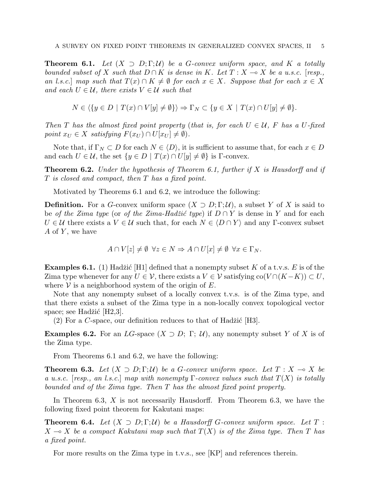**Theorem 6.1.** Let  $(X \supset D; \Gamma; \mathcal{U})$  be a G-convex uniform space, and K a totally bounded subset of X such that  $D \cap K$  is dense in K. Let  $T : X \multimap X$  be a u.s.c. [resp., an l.s.c.] map such that  $T(x) \cap K \neq \emptyset$  for each  $x \in X$ . Suppose that for each  $x \in X$ and each  $U \in \mathcal{U}$ , there exists  $V \in \mathcal{U}$  such that

$$
N \in \langle \{ y \in D \mid T(x) \cap V[y] \neq \emptyset \} \rangle \Rightarrow \Gamma_N \subset \{ y \in X \mid T(x) \cap U[y] \neq \emptyset \}.
$$

Then T has the almost fixed point property (that is, for each  $U \in \mathcal{U}$ , F has a U-fixed point  $x_U \in X$  satisfying  $F(x_U) \cap U[x_U] \neq \emptyset$ .

Note that, if  $\Gamma_N \subset D$  for each  $N \in \langle D \rangle$ , it is sufficient to assume that, for each  $x \in D$ and each  $U \in \mathcal{U}$ , the set  $\{y \in D \mid T(x) \cap U[y] \neq \emptyset\}$  is  $\Gamma$ -convex.

**Theorem 6.2.** Under the hypothesis of Theorem 6.1, further if  $X$  is Hausdorff and if T is closed and compact, then T has a fixed point.

Motivated by Theorems 6.1 and 6.2, we introduce the following:

**Definition.** For a G-convex uniform space  $(X \supset D; \Gamma; \mathcal{U})$ , a subset Y of X is said to be of the Zima type (or of the Zima-Hadžić type) if  $D \cap Y$  is dense in Y and for each  $U \in \mathcal{U}$  there exists a  $V \in \mathcal{U}$  such that, for each  $N \in \{D \cap Y\}$  and any Γ-convex subset  $A$  of  $Y$ , we have

$$
A \cap V[z] \neq \emptyset \ \forall z \in N \Rightarrow A \cap U[x] \neq \emptyset \ \forall x \in \Gamma_N.
$$

**Examples 6.1.** (1) Hadžić [H1] defined that a nonempty subset K of a t.v.s. E is of the Zima type whenever for any  $U \in \mathcal{V}$ , there exists a  $V \in \mathcal{V}$  satisfying co $(V \cap (K-K)) \subset U$ , where  $V$  is a neighborhood system of the origin of E.

Note that any nonempty subset of a locally convex t.v.s. is of the Zima type, and that there exists a subset of the Zima type in a non-locally convex topological vector space; see Hadžić  $[H2,3]$ .

(2) For a C-space, our definition reduces to that of Hadžić  $[H3]$ .

**Examples 6.2.** For an LG-space  $(X \supset D; \Gamma; \mathcal{U})$ , any nonempty subset Y of X is of the Zima type.

From Theorems 6.1 and 6.2, we have the following:

**Theorem 6.3.** Let  $(X \supset D; \Gamma; \mathcal{U})$  be a G-convex uniform space. Let  $T : X \to X$  be a u.s.c. [resp., an l.s.c.] map with nonempty  $\Gamma$ -convex values such that  $T(X)$  is totally bounded and of the Zima type. Then T has the almost fixed point property.

In Theorem 6.3,  $X$  is not necessarily Hausdorff. From Theorem 6.3, we have the following fixed point theorem for Kakutani maps:

**Theorem 6.4.** Let  $(X \supset D; \Gamma; \mathcal{U})$  be a Hausdorff G-convex uniform space. Let T:  $X \to X$  be a compact Kakutani map such that  $T(X)$  is of the Zima type. Then T has a fixed point.

For more results on the Zima type in t.v.s., see [KP] and references therein.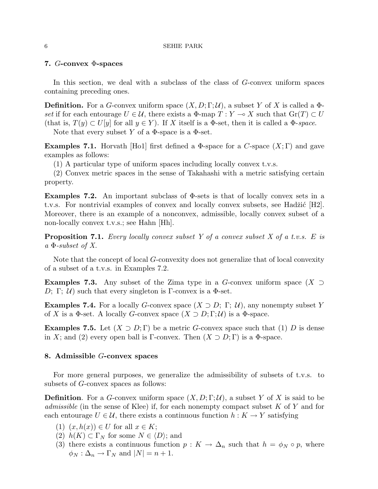#### 6 SEHIE PARK

## 7. G-convex Φ-spaces

In this section, we deal with a subclass of the class of G-convex uniform spaces containing preceding ones.

**Definition.** For a G-convex uniform space  $(X, D; \Gamma; \mathcal{U})$ , a subset Y of X is called a  $\Phi$ set if for each entourage  $U \in \mathcal{U}$ , there exists a  $\Phi$ -map  $T : Y \multimap X$  such that  $Gr(T) \subset U$ (that is,  $T(y) \subset U[y]$  for all  $y \in Y$ ). If X itself is a  $\Phi$ -set, then it is called a  $\Phi$ -space.

Note that every subset Y of a  $\Phi$ -space is a  $\Phi$ -set.

**Examples 7.1.** Horvath [Ho1] first defined a  $\Phi$ -space for a C-space  $(X; \Gamma)$  and gave examples as follows:

(1) A particular type of uniform spaces including locally convex t.v.s.

(2) Convex metric spaces in the sense of Takahashi with a metric satisfying certain property.

Examples 7.2. An important subclass of  $\Phi$ -sets is that of locally convex sets in a t.v.s. For nontrivial examples of convex and locally convex subsets, see Hadžić  $[H2]$ . Moreover, there is an example of a nonconvex, admissible, locally convex subset of a non-locally convex t.v.s.; see Hahn |Hh|.

**Proposition 7.1.** Every locally convex subset Y of a convex subset X of a t.v.s. E is  $a \Phi$ -subset of X.

Note that the concept of local G-convexity does not generalize that of local convexity of a subset of a t.v.s. in Examples 7.2.

**Examples 7.3.** Any subset of the Zima type in a G-convex uniform space  $(X \supset$ D; Γ; U) such that every singleton is Γ-convex is a  $\Phi$ -set.

**Examples 7.4.** For a locally G-convex space  $(X \supset D; \Gamma; \mathcal{U})$ , any nonempty subset Y of X is a  $\Phi$ -set. A locally G-convex space  $(X \supset D; \Gamma; \mathcal{U})$  is a  $\Phi$ -space.

**Examples 7.5.** Let  $(X \supset D; \Gamma)$  be a metric G-convex space such that (1) D is dense in X; and (2) every open ball is Γ-convex. Then  $(X \supset D; \Gamma)$  is a  $\Phi$ -space.

# 8. Admissible G-convex spaces

For more general purposes, we generalize the admissibility of subsets of t.v.s. to subsets of G-convex spaces as follows:

**Definition.** For a G-convex uniform space  $(X, D; \Gamma; \mathcal{U})$ , a subset Y of X is said to be *admissible* (in the sense of Klee) if, for each nonempty compact subset  $K$  of  $Y$  and for each entourage  $U \in \mathcal{U}$ , there exists a continuous function  $h: K \to Y$  satisfying

- (1)  $(x, h(x)) \in U$  for all  $x \in K$ ;
- (2)  $h(K) \subset \Gamma_N$  for some  $N \in \langle D \rangle$ ; and
- (3) there exists a continuous function  $p: K \to \Delta_n$  such that  $h = \phi_N \circ p$ , where  $\phi_N : \Delta_n \to \Gamma_N$  and  $|N| = n + 1$ .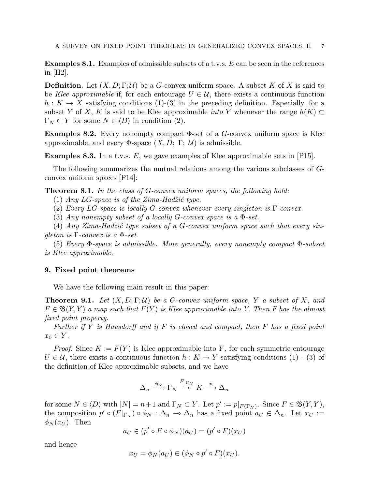**Examples 8.1.** Examples of admissible subsets of a t.v.s.  $E$  can be seen in the references in [H2].

**Definition.** Let  $(X, D; \Gamma; \mathcal{U})$  be a G-convex uniform space. A subset K of X is said to be Klee approximable if, for each entourage  $U \in \mathcal{U}$ , there exists a continuous function  $h: K \to X$  satisfying conditions (1)-(3) in the preceding definition. Especially, for a subset Y of X, K is said to be Klee approximable *into* Y whenever the range  $h(K) \subset$  $\Gamma_N \subset Y$  for some  $N \in \langle D \rangle$  in condition (2).

**Examples 8.2.** Every nonempty compact  $\Phi$ -set of a  $G$ -convex uniform space is Klee approximable, and every  $\Phi$ -space  $(X, D; \Gamma; \mathcal{U})$  is admissible.

**Examples 8.3.** In a t.v.s.  $E$ , we gave examples of Klee approximable sets in [P15].

The following summarizes the mutual relations among the various subclasses of Gconvex uniform spaces [P14]:

Theorem 8.1. In the class of G-convex uniform spaces, the following hold:

(1) Any LG-space is of the Zima-Hadžić type.

(2) Every LG-space is locally G-convex whenever every singleton is  $\Gamma$ -convex.

(3) Any nonempty subset of a locally G-convex space is a  $\Phi$ -set.

(4) Any Zima-Hadžić type subset of a G-convex uniform space such that every sinqleton is  $\Gamma$ -convex is a  $\Phi$ -set.

(5) Every Φ-space is admissible. More generally, every nonempty compact Φ-subset is Klee approximable.

## 9. Fixed point theorems

We have the following main result in this paper:

**Theorem 9.1.** Let  $(X, D; \Gamma; \mathcal{U})$  be a G-convex uniform space, Y a subset of X, and  $F \in \mathfrak{B}(Y, Y)$  a map such that  $F(Y)$  is Klee approximable into Y. Then F has the almost fixed point property.

Further if Y is Hausdorff and if F is closed and compact, then F has a fixed point  $x_0 \in Y$ .

*Proof.* Since  $K := F(Y)$  is Klee approximable into Y, for each symmetric entourage  $U \in \mathcal{U}$ , there exists a continuous function  $h: K \to Y$  satisfying conditions (1) - (3) of the definition of Klee approximable subsets, and we have

$$
\Delta_n \xrightarrow{\phi_N} \Gamma_N \xrightarrow{F|_{\Gamma_N}} K \xrightarrow{p} \Delta_n
$$

for some  $N \in \langle D \rangle$  with  $|N| = n+1$  and  $\Gamma_N \subset Y$ . Let  $p' := p|_{F(\Gamma_N)}$ . Since  $F \in \mathfrak{B}(Y, Y)$ , the composition  $p' \circ (F|_{\Gamma_N}) \circ \phi_N : \Delta_n \to \Delta_n$  has a fixed point  $a_U \in \Delta_n$ . Let  $x_U :=$  $\phi_N(a_U)$ . Then

$$
a_U \in (p' \circ F \circ \phi_N)(a_U) = (p' \circ F)(x_U)
$$

and hence

$$
x_U = \phi_N(a_U) \in (\phi_N \circ p' \circ F)(x_U).
$$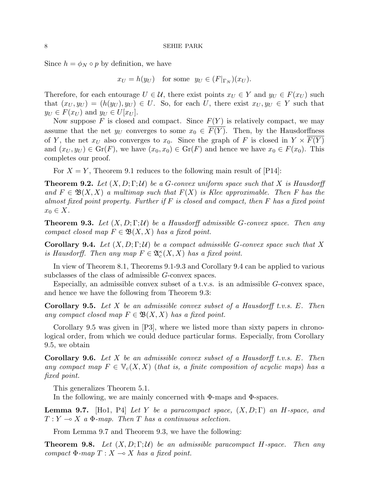Since  $h = \phi_N \circ p$  by definition, we have

$$
x_U = h(y_U)
$$
 for some  $y_U \in (F|_{\Gamma_N})(x_U)$ .

Therefore, for each entourage  $U \in \mathcal{U}$ , there exist points  $x_U \in Y$  and  $y_U \in F(x_U)$  such that  $(x_U, y_U) = (h(y_U), y_U) \in U$ . So, for each U, there exist  $x_U, y_U \in Y$  such that  $y_U \in F(x_U)$  and  $y_U \in U[x_U]$ .

Now suppose F is closed and compact. Since  $F(Y)$  is relatively compact, we may assume that the net  $y_U$  converges to some  $x_0 \in \overline{F(Y)}$ . Then, by the Hausdorffness of Y, the net  $x_U$  also converges to  $x_0$ . Since the graph of F is closed in  $Y \times \overline{F(Y)}$ and  $(x_U, y_U) \in \text{Gr}(F)$ , we have  $(x_0, x_0) \in \text{Gr}(F)$  and hence we have  $x_0 \in F(x_0)$ . This completes our proof.

For  $X = Y$ , Theorem 9.1 reduces to the following main result of [P14]:

**Theorem 9.2.** Let  $(X, D; \Gamma; \mathcal{U})$  be a G-convex uniform space such that X is Hausdorff and  $F \in \mathfrak{B}(X,X)$  a multimap such that  $F(X)$  is Klee approximable. Then F has the almost fixed point property. Further if  $F$  is closed and compact, then  $F$  has a fixed point  $x_0 \in X$ .

**Theorem 9.3.** Let  $(X, D; \Gamma; \mathcal{U})$  be a Hausdorff admissible G-convex space. Then any compact closed map  $F \in \mathfrak{B}(X,X)$  has a fixed point.

**Corollary 9.4.** Let  $(X, D; \Gamma; \mathcal{U})$  be a compact admissible G-convex space such that X is Hausdorff. Then any map  $F \in \mathfrak{A}_c^{\kappa}(X,X)$  has a fixed point.

In view of Theorem 8.1, Theorems 9.1-9.3 and Corollary 9.4 can be applied to various subclasses of the class of admissible G-convex spaces.

Especially, an admissible convex subset of a t.v.s. is an admissible G-convex space, and hence we have the following from Theorem 9.3:

**Corollary 9.5.** Let X be an admissible convex subset of a Hausdorff t.v.s. E. Then any compact closed map  $F \in \mathfrak{B}(X,X)$  has a fixed point.

Corollary 9.5 was given in [P3], where we listed more than sixty papers in chronological order, from which we could deduce particular forms. Especially, from Corollary 9.5, we obtain

**Corollary 9.6.** Let X be an admissible convex subset of a Hausdorff t.v.s. E. Then any compact map  $F \in \mathbb{V}_c(X,X)$  (that is, a finite composition of acyclic maps) has a fixed point.

This generalizes Theorem 5.1.

In the following, we are mainly concerned with  $\Phi$ -maps and  $\Phi$ -spaces.

**Lemma 9.7.** [Ho1, P4] Let Y be a paracompact space,  $(X, D; \Gamma)$  an H-space, and  $T: Y \longrightarrow X$  a  $\Phi$ -map. Then T has a continuous selection.

From Lemma 9.7 and Theorem 9.3, we have the following:

**Theorem 9.8.** Let  $(X, D; \Gamma; \mathcal{U})$  be an admissible paracompact H-space. Then any compact  $\Phi$ -map  $T : X \longrightarrow X$  has a fixed point.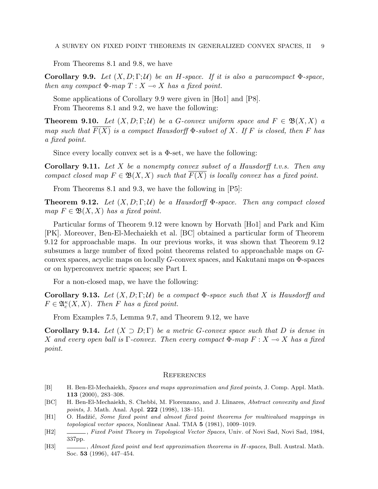From Theorems 8.1 and 9.8, we have

**Corollary 9.9.** Let  $(X, D; \Gamma; \mathcal{U})$  be an H-space. If it is also a paracompact  $\Phi$ -space, then any compact  $\Phi$ -map  $T : X \longrightarrow X$  has a fixed point.

Some applications of Corollary 9.9 were given in [Ho1] and [P8]. From Theorems 8.1 and 9.2, we have the following:

**Theorem 9.10.** Let  $(X, D; \Gamma; \mathcal{U})$  be a G-convex uniform space and  $F \in \mathfrak{B}(X, X)$  a map such that  $\overline{F(X)}$  is a compact Hausdorff  $\Phi$ -subset of X. If F is closed, then F has a fixed point.

Since every locally convex set is a  $\Phi$ -set, we have the following:

**Corollary 9.11.** Let X be a nonempty convex subset of a Hausdorff t.v.s. Then any compact closed map  $F \in \mathfrak{B}(X,X)$  such that  $F(X)$  is locally convex has a fixed point.

From Theorems 8.1 and 9.3, we have the following in [P5]:

**Theorem 9.12.** Let  $(X, D; \Gamma; \mathcal{U})$  be a Hausdorff  $\Phi$ -space. Then any compact closed map  $F \in \mathfrak{B}(X,X)$  has a fixed point.

Particular forms of Theorem 9.12 were known by Horvath [Ho1] and Park and Kim [PK]. Moreover, Ben-El-Mechaiekh et al. [BC] obtained a particular form of Theorem 9.12 for approachable maps. In our previous works, it was shown that Theorem 9.12 subsumes a large number of fixed point theorems related to approachable maps on Gconvex spaces, acyclic maps on locally G-convex spaces, and Kakutani maps on Φ-spaces or on hyperconvex metric spaces; see Part I.

For a non-closed map, we have the following:

Corollary 9.13. Let  $(X, D; \Gamma; \mathcal{U})$  be a compact  $\Phi$ -space such that X is Hausdorff and  $F \in \mathfrak{A}_{c}^{\kappa}(X,X)$ . Then F has a fixed point.

From Examples 7.5, Lemma 9.7, and Theorem 9.12, we have

Corollary 9.14. Let  $(X \supset D;\Gamma)$  be a metric G-convex space such that D is dense in X and every open ball is  $\Gamma$ -convex. Then every compact  $\Phi$ -map  $F: X \to X$  has a fixed point.

#### **REFERENCES**

- [B] H. Ben-El-Mechaiekh, Spaces and maps approximation and fixed points, J. Comp. Appl. Math. 113 (2000), 283–308.
- [BC] H. Ben-El-Mechaiekh, S. Chebbi, M. Florenzano, and J. Llinares, Abstract convexity and fixed points, J. Math. Anal. Appl. 222 (1998), 138–151.
- [H1] O. Hadžić, Some fixed point and almost fixed point theorems for multivalued mappings in topological vector spaces, Nonlinear Anal. TMA 5 (1981), 1009–1019.
- [H2] , Fixed Point Theory in Topological Vector Spaces, Univ. of Novi Sad, Novi Sad, 1984, 337pp.
- [H3] , Almost fixed point and best approximation theorems in H-spaces, Bull. Austral. Math. Soc. 53 (1996), 447–454.